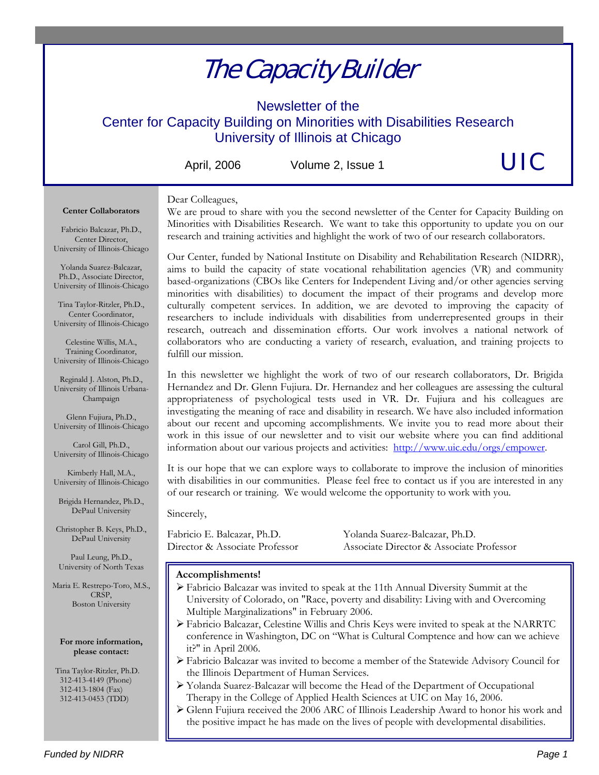# The Capacity Builder

Newsletter of the Center for Capacity Building on Minorities with Disabilities Research University of Illinois at Chicago

April, 2006 Volume 2, Issue 1

UIC

### Dear Colleagues, **Center Collaborators**

We are proud to share with you the second newsletter of the Center for Capacity Building on Minorities with Disabilities Research. We want to take this opportunity to update you on our research and training activities and highlight the work of two of our research collaborators.

Fabricio Balcazar, Ph.D., Center Director, University of Illinois-Chicago

Yolanda Suarez-Balcazar, Ph.D., Associate Director, University of Illinois-Chicago

Tina Taylor-Ritzler, Ph.D., Center Coordinator, University of Illinois-Chicago

Celestine Willis, M.A., Training Coordinator, University of Illinois-Chicago

Reginald J. Alston, Ph.D., University of Illinois Urbana-Champaign

Glenn Fujiura, Ph.D., University of Illinois-Chicago

Carol Gill, Ph.D., University of Illinois-Chicago

Kimberly Hall, M.A., University of Illinois-Chicago

Brigida Hernandez, Ph.D., DePaul University

Christopher B. Keys, Ph.D., DePaul University

Paul Leung, Ph.D., University of North Texas

Maria E. Restrepo-Toro, M.S., CRSP, Boston University

### **For more information, please contact:**

 Tina Taylor-Ritzler, Ph.D. 312-413-4149 (Phone) 312-413-1804 (Fax) 312-413-0453 (TDD)

Our Center, funded by National Institute on Disability and Rehabilitation Research (NIDRR), aims to build the capacity of state vocational rehabilitation agencies (VR) and community based-organizations (CBOs like Centers for Independent Living and/or other agencies serving minorities with disabilities) to document the impact of their programs and develop more culturally competent services. In addition, we are devoted to improving the capacity of researchers to include individuals with disabilities from underrepresented groups in their research, outreach and dissemination efforts. Our work involves a national network of collaborators who are conducting a variety of research, evaluation, and training projects to fulfill our mission.

In this newsletter we highlight the work of two of our research collaborators, Dr. Brigida Hernandez and Dr. Glenn Fujiura. Dr. Hernandez and her colleagues are assessing the cultural appropriateness of psychological tests used in VR. Dr. Fujiura and his colleagues are investigating the meaning of race and disability in research. We have also included information about our recent and upcoming accomplishments. We invite you to read more about their work in this issue of our newsletter and to visit our website where you can find additional information about our various projects and activities: http://www.uic.edu/orgs/empower.

It is our hope that we can explore ways to collaborate to improve the inclusion of minorities with disabilities in our communities. Please feel free to contact us if you are interested in any of our research or training. We would welcome the opportunity to work with you.

Sincerely,

Fabricio E. Balcazar, Ph.D. Yolanda Suarez-Balcazar, Ph.D. Director & Associate Professor Associate Director & Associate Professor

### **Accomplishments!**

- ¾ Fabricio Balcazar was invited to speak at the 11th Annual Diversity Summit at the University of Colorado, on "Race, poverty and disability: Living with and Overcoming Multiple Marginalizations" in February 2006.
- ¾ Fabricio Balcazar, Celestine Willis and Chris Keys were invited to speak at the NARRTC conference in Washington, DC on "What is Cultural Comptence and how can we achieve it?" in April 2006.
- ¾ Fabricio Balcazar was invited to become a member of the Statewide Advisory Council for the Illinois Department of Human Services.
- ¾ Yolanda Suarez-Balcazar will become the Head of the Department of Occupational Therapy in the College of Applied Health Sciences at UIC on May 16, 2006.
- ¾ Glenn Fujiura received the 2006 ARC of Illinois Leadership Award to honor his work and the positive impact he has made on the lives of people with developmental disabilities.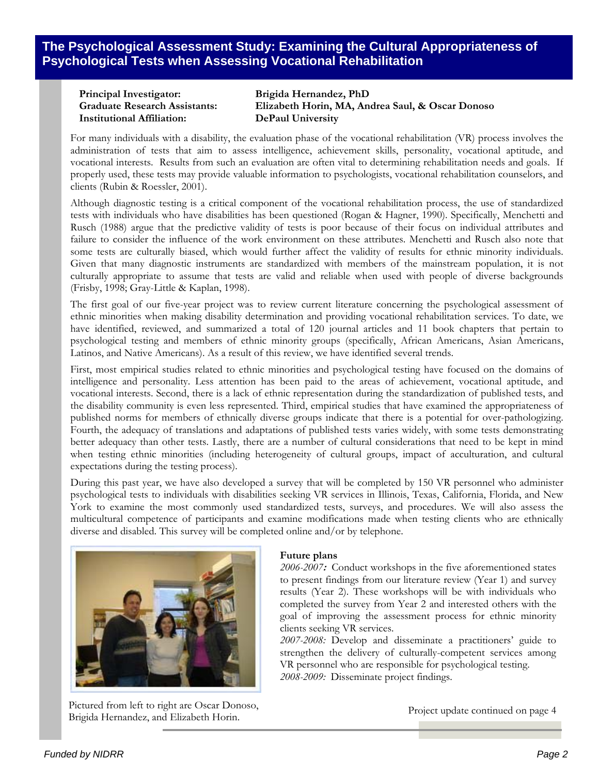**The Psychological Assessment Study: Examining the Cultural Appropriateness of Psychological Tests when Assessing Vocational Rehabilitation**

**Principal Investigator: Brigida Hernandez, PhD Institutional Affiliation: DePaul University** 

**Graduate Research Assistants: Elizabeth Horin, MA, Andrea Saul, & Oscar Donoso** 

For many individuals with a disability, the evaluation phase of the vocational rehabilitation (VR) process involves the administration of tests that aim to assess intelligence, achievement skills, personality, vocational aptitude, and vocational interests. Results from such an evaluation are often vital to determining rehabilitation needs and goals. If properly used, these tests may provide valuable information to psychologists, vocational rehabilitation counselors, and clients (Rubin & Roessler, 2001).

Although diagnostic testing is a critical component of the vocational rehabilitation process, the use of standardized tests with individuals who have disabilities has been questioned (Rogan & Hagner, 1990). Specifically, Menchetti and Rusch (1988) argue that the predictive validity of tests is poor because of their focus on individual attributes and failure to consider the influence of the work environment on these attributes. Menchetti and Rusch also note that some tests are culturally biased, which would further affect the validity of results for ethnic minority individuals. Given that many diagnostic instruments are standardized with members of the mainstream population, it is not culturally appropriate to assume that tests are valid and reliable when used with people of diverse backgrounds (Frisby, 1998; Gray-Little & Kaplan, 1998).

The first goal of our five-year project was to review current literature concerning the psychological assessment of ethnic minorities when making disability determination and providing vocational rehabilitation services. To date, we have identified, reviewed, and summarized a total of 120 journal articles and 11 book chapters that pertain to psychological testing and members of ethnic minority groups (specifically, African Americans, Asian Americans, Latinos, and Native Americans). As a result of this review, we have identified several trends.

First, most empirical studies related to ethnic minorities and psychological testing have focused on the domains of intelligence and personality. Less attention has been paid to the areas of achievement, vocational aptitude, and vocational interests. Second, there is a lack of ethnic representation during the standardization of published tests, and the disability community is even less represented. Third, empirical studies that have examined the appropriateness of published norms for members of ethnically diverse groups indicate that there is a potential for over-pathologizing. Fourth, the adequacy of translations and adaptations of published tests varies widely, with some tests demonstrating better adequacy than other tests. Lastly, there are a number of cultural considerations that need to be kept in mind when testing ethnic minorities (including heterogeneity of cultural groups, impact of acculturation, and cultural expectations during the testing process).

During this past year, we have also developed a survey that will be completed by 150 VR personnel who administer psychological tests to individuals with disabilities seeking VR services in Illinois, Texas, California, Florida, and New York to examine the most commonly used standardized tests, surveys, and procedures. We will also assess the multicultural competence of participants and examine modifications made when testing clients who are ethnically diverse and disabled. This survey will be completed online and/or by telephone.



Pictured from left to right are Oscar Donoso, Brigida Hernandez, and Elizabeth Horin.

### **Future plans**

*2006-2007***:** Conduct workshops in the five aforementioned states to present findings from our literature review (Year 1) and survey results (Year 2). These workshops will be with individuals who completed the survey from Year 2 and interested others with the goal of improving the assessment process for ethnic minority clients seeking VR services.

*2007-2008:* Develop and disseminate a practitioners' guide to strengthen the delivery of culturally-competent services among VR personnel who are responsible for psychological testing. *2008-2009:* Disseminate project findings.

Project update continued on page 4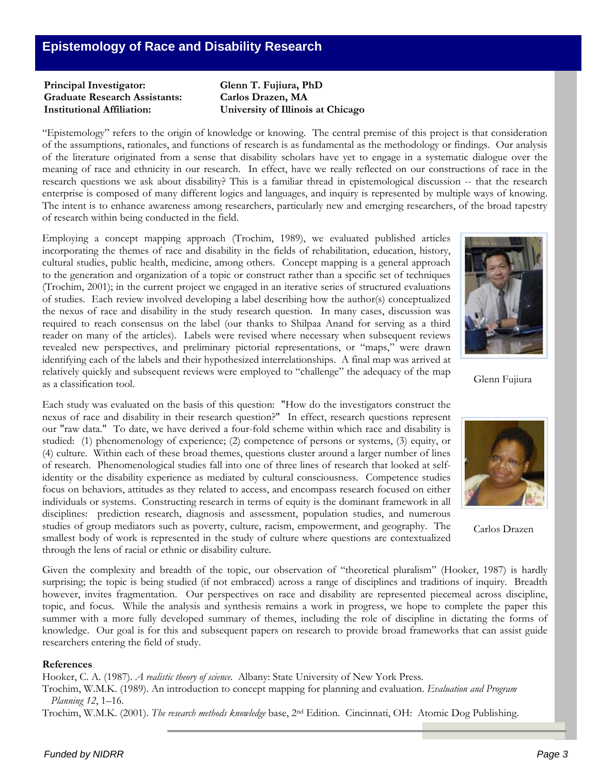### **Principal Investigator: Glenn T. Fujiura, PhD Graduate Research Assistants: Carlos Drazen, MA Institutional Affiliation: University of Illinois at Chicago**

"Epistemology" refers to the origin of knowledge or knowing. The central premise of this project is that consideration of the assumptions, rationales, and functions of research is as fundamental as the methodology or findings. Our analysis of the literature originated from a sense that disability scholars have yet to engage in a systematic dialogue over the meaning of race and ethnicity in our research. In effect, have we really reflected on our constructions of race in the research questions we ask about disability? This is a familiar thread in epistemological discussion -- that the research enterprise is composed of many different logics and languages, and inquiry is represented by multiple ways of knowing. The intent is to enhance awareness among researchers, particularly new and emerging researchers, of the broad tapestry of research within being conducted in the field.

Employing a concept mapping approach (Trochim, 1989), we evaluated published articles incorporating the themes of race and disability in the fields of rehabilitation, education, history, cultural studies, public health, medicine, among others. Concept mapping is a general approach to the generation and organization of a topic or construct rather than a specific set of techniques (Trochim, 2001); in the current project we engaged in an iterative series of structured evaluations of studies. Each review involved developing a label describing how the author(s) conceptualized the nexus of race and disability in the study research question. In many cases, discussion was required to reach consensus on the label (our thanks to Shilpaa Anand for serving as a third reader on many of the articles). Labels were revised where necessary when subsequent reviews revealed new perspectives, and preliminary pictorial representations, or "maps," were drawn identifying each of the labels and their hypothesized interrelationships. A final map was arrived at relatively quickly and subsequent reviews were employed to "challenge" the adequacy of the map as a classification tool.

Each study was evaluated on the basis of this question: "How do the investigators construct the nexus of race and disability in their research question?" In effect, research questions represent our "raw data." To date, we have derived a four-fold scheme within which race and disability is studied: (1) phenomenology of experience; (2) competence of persons or systems, (3) equity, or (4) culture. Within each of these broad themes, questions cluster around a larger number of lines of research. Phenomenological studies fall into one of three lines of research that looked at selfidentity or the disability experience as mediated by cultural consciousness. Competence studies focus on behaviors, attitudes as they related to access, and encompass research focused on either individuals or systems. Constructing research in terms of equity is the dominant framework in all disciplines: prediction research, diagnosis and assessment, population studies, and numerous studies of group mediators such as poverty, culture, racism, empowerment, and geography. The

smallest body of work is represented in the study of culture where questions are contextualized through the lens of racial or ethnic or disability culture.

Given the complexity and breadth of the topic, our observation of "theoretical pluralism" (Hooker, 1987) is hardly surprising; the topic is being studied (if not embraced) across a range of disciplines and traditions of inquiry. Breadth however, invites fragmentation. Our perspectives on race and disability are represented piecemeal across discipline, topic, and focus. While the analysis and synthesis remains a work in progress, we hope to complete the paper this summer with a more fully developed summary of themes, including the role of discipline in dictating the forms of knowledge. Our goal is for this and subsequent papers on research to provide broad frameworks that can assist guide researchers entering the field of study.

### **References**

Hooker, C. A. (1987). *A realistic theory of science*. Albany: State University of New York Press.

Trochim, W.M.K. (1989). An introduction to concept mapping for planning and evaluation. *Evaluation and Program Planning 12*, 1–16.

Trochim, W.M.K. (2001). *The research methods knowledge* base, 2nd Edition. Cincinnati, OH: Atomic Dog Publishing.



Glenn Fujiura



Carlos Drazen